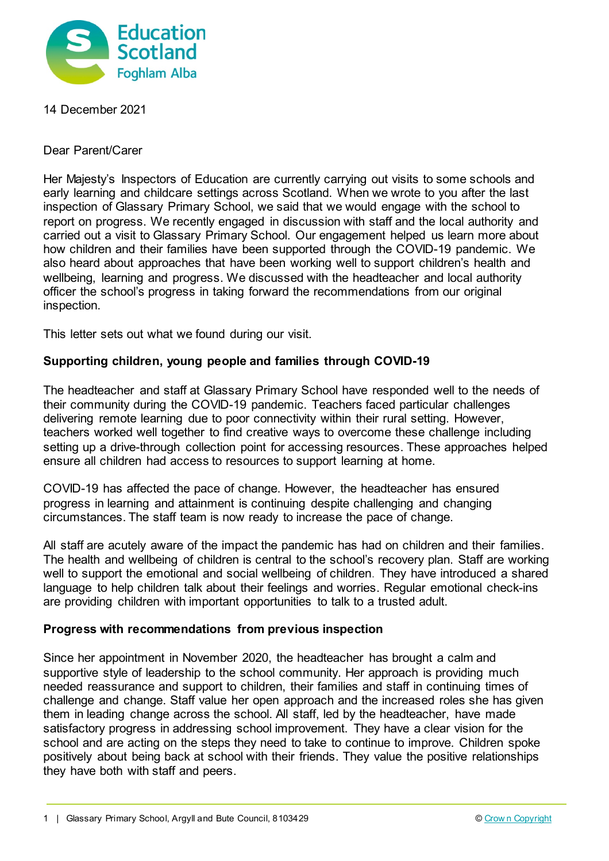

14 December 2021

Dear Parent/Carer

Her Majesty's Inspectors of Education are currently carrying out visits to some schools and early learning and childcare settings across Scotland. When we wrote to you after the last inspection of Glassary Primary School, we said that we would engage with the school to report on progress. We recently engaged in discussion with staff and the local authority and carried out a visit to Glassary Primary School. Our engagement helped us learn more about how children and their families have been supported through the COVID-19 pandemic. We also heard about approaches that have been working well to support children's health and wellbeing, learning and progress. We discussed with the headteacher and local authority officer the school's progress in taking forward the recommendations from our original inspection.

This letter sets out what we found during our visit.

## **Supporting children, young people and families through COVID-19**

The headteacher and staff at Glassary Primary School have responded well to the needs of their community during the COVID-19 pandemic. Teachers faced particular challenges delivering remote learning due to poor connectivity within their rural setting. However, teachers worked well together to find creative ways to overcome these challenge including setting up a drive-through collection point for accessing resources. These approaches helped ensure all children had access to resources to support learning at home.

COVID-19 has affected the pace of change. However, the headteacher has ensured progress in learning and attainment is continuing despite challenging and changing circumstances. The staff team is now ready to increase the pace of change.

All staff are acutely aware of the impact the pandemic has had on children and their families. The health and wellbeing of children is central to the school's recovery plan. Staff are working well to support the emotional and social wellbeing of children. They have introduced a shared language to help children talk about their feelings and worries. Regular emotional check-ins are providing children with important opportunities to talk to a trusted adult.

## **Progress with recommendations from previous inspection**

Since her appointment in November 2020, the headteacher has brought a calm and supportive style of leadership to the school community. Her approach is providing much needed reassurance and support to children, their families and staff in continuing times of challenge and change. Staff value her open approach and the increased roles she has given them in leading change across the school. All staff, led by the headteacher, have made satisfactory progress in addressing school improvement. They have a clear vision for the school and are acting on the steps they need to take to continue to improve. Children spoke positively about being back at school with their friends. They value the positive relationships they have both with staff and peers.